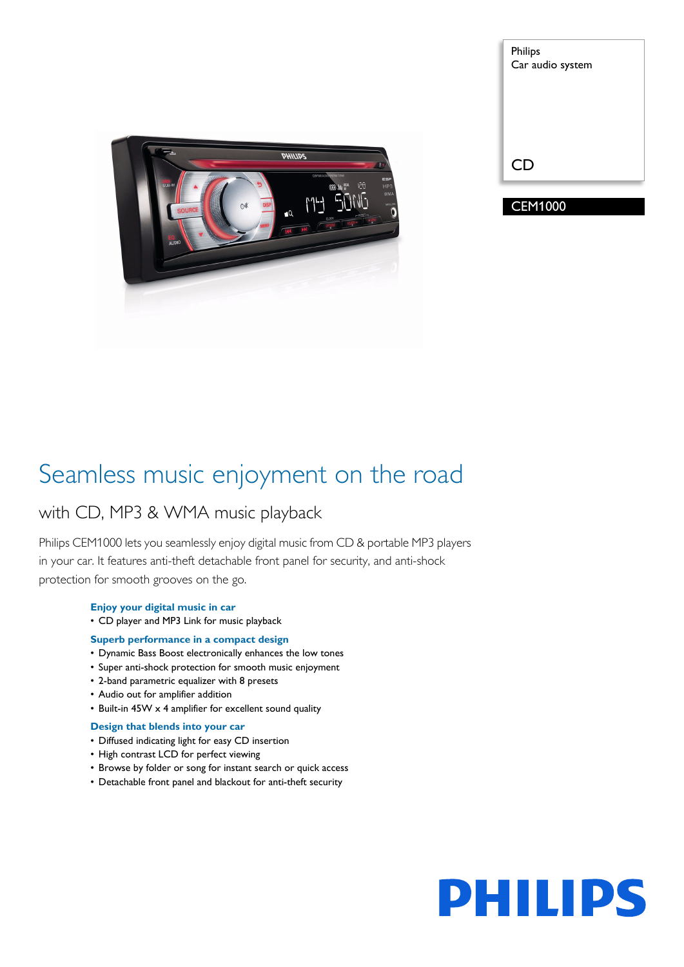

| <b>Philips</b>   |
|------------------|
| Car audio system |
|                  |
|                  |
|                  |
|                  |
| <b>CD</b>        |
|                  |
| <b>CEM1000</b>   |
|                  |

### Seamless music enjoyment on the road

### with CD, MP3 & WMA music playback

Philips CEM1000 lets you seamlessly enjoy digital music from CD & portable MP3 players in your car. It features anti-theft detachable front panel for security, and anti-shock protection for smooth grooves on the go.

### **Enjoy your digital music in car** • CD player and MP3 Link for music playback

- **Superb performance in a compact design**
- Dynamic Bass Boost electronically enhances the low tones
- Super anti-shock protection for smooth music enjoyment
- 2-band parametric equalizer with 8 presets
- Audio out for amplifier addition
- Built-in 45W x 4 amplifier for excellent sound quality

### **Design that blends into your car**

- Diffused indicating light for easy CD insertion
- High contrast LCD for perfect viewing
- Browse by folder or song for instant search or quick access
- Detachable front panel and blackout for anti-theft security